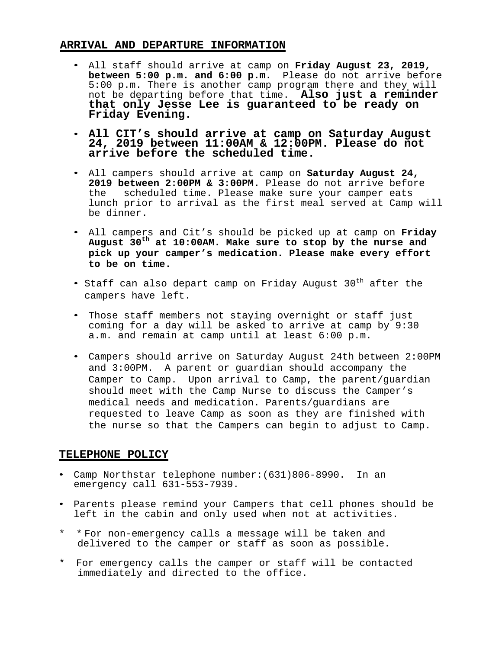## **ARRIVAL AND DEPARTURE INFORMATION**

- All staff should arrive at camp on **Friday August 23, 2019, between 5:00 p.m. and 6:00 p.m.** Please do not arrive before 5:00 p.m. There is another camp program there and they will not be departing before that time. **Also just a reminder that only Jesse Lee is guaranteed to be ready on Friday Evening.**
- **All CIT's should arrive at camp on Saturday August 24, 2019 between 11:00AM & 12:00PM. Please do not arrive before the scheduled time.**
- All campers should arrive at camp on **Saturday August 24, 2019 between 2:00PM & 3:00PM.** Please do not arrive before the scheduled time. Please make sure your camper eats lunch prior to arrival as the first meal served at Camp will be dinner.
- All campers and Cit's should be picked up at camp on **Friday August 30th at 10:00AM. Make sure to stop by the nurse and pick up your camper's medication. Please make every effort to be on time.**
- Staff can also depart camp on Friday August 30<sup>th</sup> after the campers have left.
- Those staff members not staying overnight or staff just coming for a day will be asked to arrive at camp by 9:30 a.m. and remain at camp until at least 6:00 p.m.
- Campers should arrive on Saturday August 24th between 2:00PM and 3:00PM. A parent or guardian should accompany the Camper to Camp. Upon arrival to Camp, the parent/guardian should meet with the Camp Nurse to discuss the Camper's medical needs and medication. Parents/guardians are requested to leave Camp as soon as they are finished with the nurse so that the Campers can begin to adjust to Camp.

# **TELEPHONE POLICY**

- Camp Northstar telephone number:(631)806-8990. In an emergency call 631-553-7939.
- Parents please remind your Campers that cell phones should be left in the cabin and only used when not at activities.
- \* \* For non-emergency calls a message will be taken and delivered to the camper or staff as soon as possible.
- \* For emergency calls the camper or staff will be contacted immediately and directed to the office.